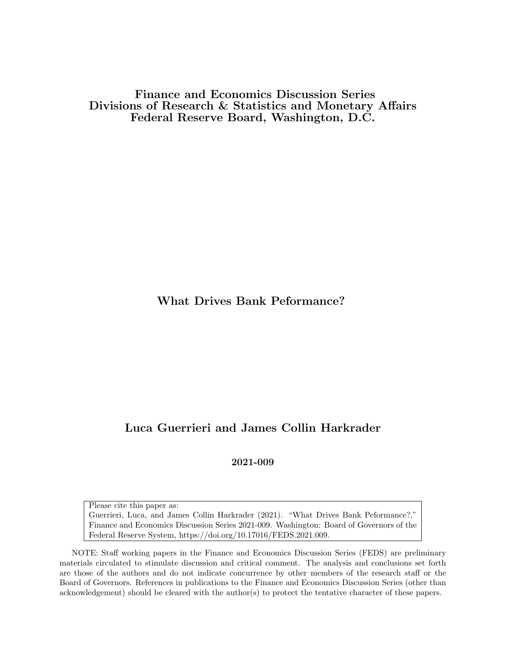Finance and Economics Discussion Series Divisions of Research & Statistics and Monetary Affairs Federal Reserve Board, Washington, D.C.

What Drives Bank Peformance?

# Luca Guerrieri and James Collin Harkrader

2021-009

Please cite this paper as: Guerrieri, Luca, and James Collin Harkrader (2021). "What Drives Bank Peformance?," Finance and Economics Discussion Series 2021-009. Washington: Board of Governors of the Federal Reserve System, https://doi.org/10.17016/FEDS.2021.009.

NOTE: Staff working papers in the Finance and Economics Discussion Series (FEDS) are preliminary materials circulated to stimulate discussion and critical comment. The analysis and conclusions set forth are those of the authors and do not indicate concurrence by other members of the research staff or the Board of Governors. References in publications to the Finance and Economics Discussion Series (other than acknowledgement) should be cleared with the author(s) to protect the tentative character of these papers.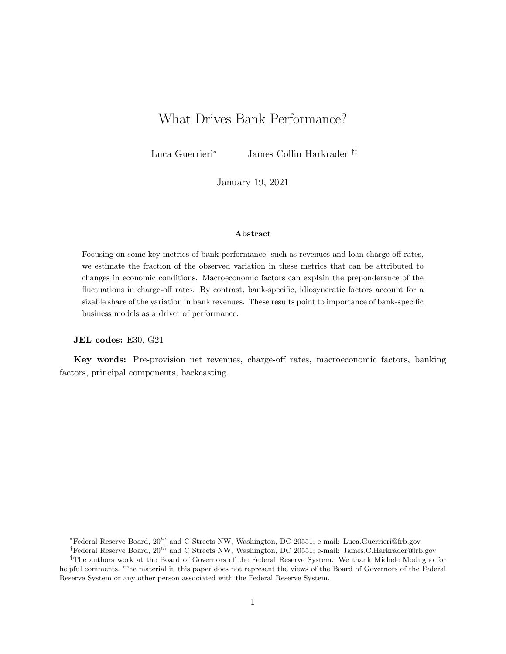# What Drives Bank Performance?

Luca Guerrieri<sup>∗</sup> James Collin Harkrader †‡

January 19, 2021

#### Abstract

Focusing on some key metrics of bank performance, such as revenues and loan charge-off rates, we estimate the fraction of the observed variation in these metrics that can be attributed to changes in economic conditions. Macroeconomic factors can explain the preponderance of the fluctuations in charge-off rates. By contrast, bank-specific, idiosyncratic factors account for a sizable share of the variation in bank revenues. These results point to importance of bank-specific business models as a driver of performance.

#### JEL codes: E30, G21

Key words: Pre-provision net revenues, charge-off rates, macroeconomic factors, banking factors, principal components, backcasting.

<sup>∗</sup>Federal Reserve Board, 20th and C Streets NW, Washington, DC 20551; e-mail: Luca.Guerrieri@frb.gov

<sup>†</sup>Federal Reserve Board, 20th and C Streets NW, Washington, DC 20551; e-mail: James.C.Harkrader@frb.gov

<sup>‡</sup>The authors work at the Board of Governors of the Federal Reserve System. We thank Michele Modugno for helpful comments. The material in this paper does not represent the views of the Board of Governors of the Federal Reserve System or any other person associated with the Federal Reserve System.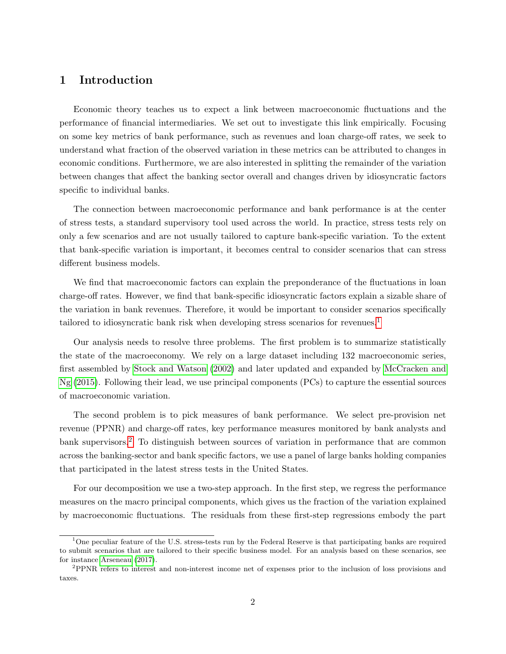## 1 Introduction

Economic theory teaches us to expect a link between macroeconomic fluctuations and the performance of financial intermediaries. We set out to investigate this link empirically. Focusing on some key metrics of bank performance, such as revenues and loan charge-off rates, we seek to understand what fraction of the observed variation in these metrics can be attributed to changes in economic conditions. Furthermore, we are also interested in splitting the remainder of the variation between changes that affect the banking sector overall and changes driven by idiosyncratic factors specific to individual banks.

The connection between macroeconomic performance and bank performance is at the center of stress tests, a standard supervisory tool used across the world. In practice, stress tests rely on only a few scenarios and are not usually tailored to capture bank-specific variation. To the extent that bank-specific variation is important, it becomes central to consider scenarios that can stress different business models.

We find that macroeconomic factors can explain the preponderance of the fluctuations in loan charge-off rates. However, we find that bank-specific idiosyncratic factors explain a sizable share of the variation in bank revenues. Therefore, it would be important to consider scenarios specifically tailored to idiosyncratic bank risk when developing stress scenarios for revenues.<sup>[1](#page-2-0)</sup>

Our analysis needs to resolve three problems. The first problem is to summarize statistically the state of the macroeconomy. We rely on a large dataset including 132 macroeconomic series, first assembled by [Stock and Watson](#page-10-0) [\(2002\)](#page-10-0) and later updated and expanded by [McCracken and](#page-10-1) [Ng](#page-10-1) [\(2015\)](#page-10-1). Following their lead, we use principal components (PCs) to capture the essential sources of macroeconomic variation.

The second problem is to pick measures of bank performance. We select pre-provision net revenue (PPNR) and charge-off rates, key performance measures monitored by bank analysts and bank supervisors.<sup>[2](#page-2-1)</sup> To distinguish between sources of variation in performance that are common across the banking-sector and bank specific factors, we use a panel of large banks holding companies that participated in the latest stress tests in the United States.

For our decomposition we use a two-step approach. In the first step, we regress the performance measures on the macro principal components, which gives us the fraction of the variation explained by macroeconomic fluctuations. The residuals from these first-step regressions embody the part

<span id="page-2-0"></span><sup>&</sup>lt;sup>1</sup>One peculiar feature of the U.S. stress-tests run by the Federal Reserve is that participating banks are required to submit scenarios that are tailored to their specific business model. For an analysis based on these scenarios, see for instance [Arseneau](#page-10-2) [\(2017\)](#page-10-2).

<span id="page-2-1"></span><sup>2</sup>PPNR refers to interest and non-interest income net of expenses prior to the inclusion of loss provisions and taxes.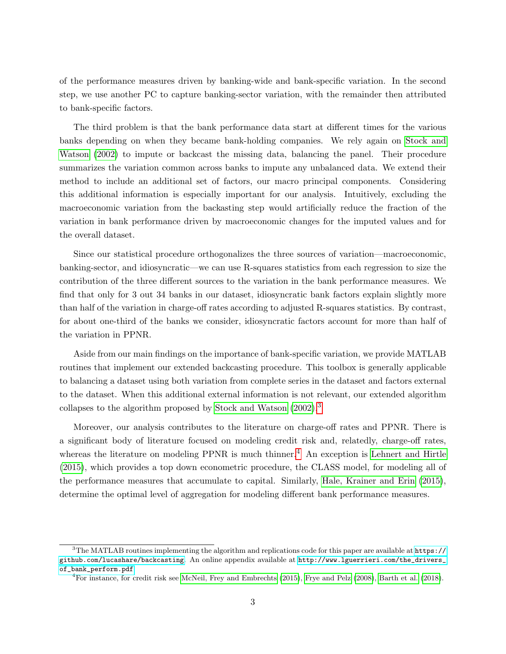of the performance measures driven by banking-wide and bank-specific variation. In the second step, we use another PC to capture banking-sector variation, with the remainder then attributed to bank-specific factors.

The third problem is that the bank performance data start at different times for the various banks depending on when they became bank-holding companies. We rely again on [Stock and](#page-10-0) [Watson](#page-10-0) [\(2002\)](#page-10-0) to impute or backcast the missing data, balancing the panel. Their procedure summarizes the variation common across banks to impute any unbalanced data. We extend their method to include an additional set of factors, our macro principal components. Considering this additional information is especially important for our analysis. Intuitively, excluding the macroeconomic variation from the backasting step would artificially reduce the fraction of the variation in bank performance driven by macroeconomic changes for the imputed values and for the overall dataset.

Since our statistical procedure orthogonalizes the three sources of variation—macroeconomic, banking-sector, and idiosyncratic—we can use R-squares statistics from each regression to size the contribution of the three different sources to the variation in the bank performance measures. We find that only for 3 out 34 banks in our dataset, idiosyncratic bank factors explain slightly more than half of the variation in charge-off rates according to adjusted R-squares statistics. By contrast, for about one-third of the banks we consider, idiosyncratic factors account for more than half of the variation in PPNR.

Aside from our main findings on the importance of bank-specific variation, we provide MATLAB routines that implement our extended backcasting procedure. This toolbox is generally applicable to balancing a dataset using both variation from complete series in the dataset and factors external to the dataset. When this additional external information is not relevant, our extended algorithm collapses to the algorithm proposed by [Stock and Watson](#page-10-0) [\(2002\)](#page-10-0).[3](#page-3-0)

Moreover, our analysis contributes to the literature on charge-off rates and PPNR. There is a significant body of literature focused on modeling credit risk and, relatedly, charge-off rates, whereas the literature on modeling  $PPNR$  is much thinner.<sup>[4](#page-3-1)</sup> An exception is [Lehnert and Hirtle](#page-10-3) [\(2015\)](#page-10-3), which provides a top down econometric procedure, the CLASS model, for modeling all of the performance measures that accumulate to capital. Similarly, [Hale, Krainer and Erin](#page-10-4) [\(2015\)](#page-10-4), determine the optimal level of aggregation for modeling different bank performance measures.

<span id="page-3-0"></span> $3$ The MATLAB routines implementing the algorithm and replications code for this paper are available at  $\frac{1}{10}$ :// [github.com/lucashare/backcasting](https://github.com/lucashare/backcasting). An online appendix available at [http://www.lguerrieri.com/the\\_drivers\\_](http://www.lguerrieri.com/the_drivers_of_bank_perform.pdf) [of\\_bank\\_perform.pdf](http://www.lguerrieri.com/the_drivers_of_bank_perform.pdf).

<span id="page-3-1"></span><sup>&</sup>lt;sup>4</sup>For instance, for credit risk see [McNeil, Frey and Embrechts](#page-10-5) [\(2015\)](#page-10-5), [Frye and Pelz](#page-10-6) [\(2008\)](#page-10-6), [Barth et al.](#page-10-7) [\(2018\)](#page-10-7).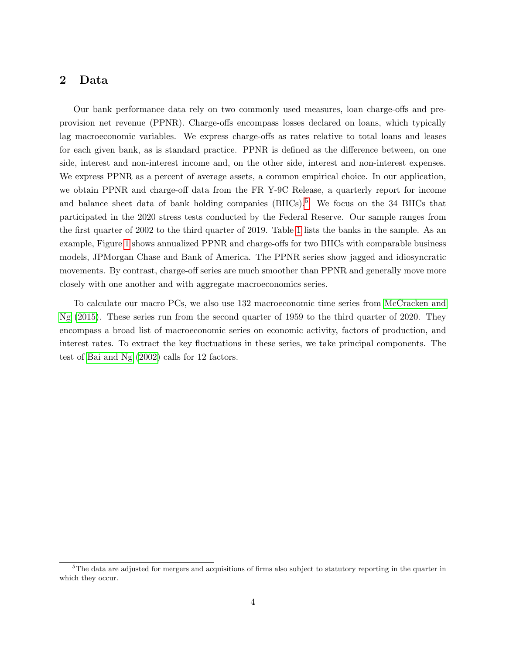## 2 Data

Our bank performance data rely on two commonly used measures, loan charge-offs and preprovision net revenue (PPNR). Charge-offs encompass losses declared on loans, which typically lag macroeconomic variables. We express charge-offs as rates relative to total loans and leases for each given bank, as is standard practice. PPNR is defined as the difference between, on one side, interest and non-interest income and, on the other side, interest and non-interest expenses. We express PPNR as a percent of average assets, a common empirical choice. In our application, we obtain PPNR and charge-off data from the FR Y-9C Release, a quarterly report for income and balance sheet data of bank holding companies (BHCs).<sup>[5](#page-4-0)</sup> We focus on the 34 BHCs that participated in the 2020 stress tests conducted by the Federal Reserve. Our sample ranges from the first quarter of 2002 to the third quarter of 2019. Table [1](#page-5-0) lists the banks in the sample. As an example, Figure [1](#page-6-0) shows annualized PPNR and charge-offs for two BHCs with comparable business models, JPMorgan Chase and Bank of America. The PPNR series show jagged and idiosyncratic movements. By contrast, charge-off series are much smoother than PPNR and generally move more closely with one another and with aggregate macroeconomics series.

To calculate our macro PCs, we also use 132 macroeconomic time series from [McCracken and](#page-10-1) [Ng](#page-10-1) [\(2015\)](#page-10-1). These series run from the second quarter of 1959 to the third quarter of 2020. They encompass a broad list of macroeconomic series on economic activity, factors of production, and interest rates. To extract the key fluctuations in these series, we take principal components. The test of [Bai and Ng](#page-10-8) [\(2002\)](#page-10-8) calls for 12 factors.

<span id="page-4-0"></span><sup>&</sup>lt;sup>5</sup>The data are adjusted for mergers and acquisitions of firms also subject to statutory reporting in the quarter in which they occur.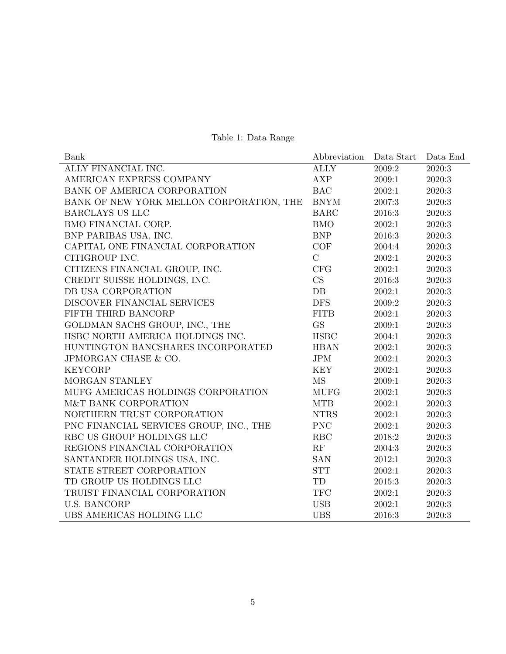|  | Table 1: Data Range |
|--|---------------------|
|  |                     |

<span id="page-5-0"></span>

| Bank                                     | Abbreviation          | Data Start | Data End |
|------------------------------------------|-----------------------|------------|----------|
| ALLY FINANCIAL INC.                      | <b>ALLY</b>           | 2009:2     | 2020:3   |
| AMERICAN EXPRESS COMPANY                 | AXP                   | 2009:1     | 2020:3   |
| BANK OF AMERICA CORPORATION              | <b>BAC</b>            | 2002:1     | 2020:3   |
| BANK OF NEW YORK MELLON CORPORATION, THE | $\operatorname{BNYM}$ | 2007:3     | 2020:3   |
| <b>BARCLAYS US LLC</b>                   | <b>BARC</b>           | 2016:3     | 2020:3   |
| BMO FINANCIAL CORP.                      | <b>BMO</b>            | 2002:1     | 2020:3   |
| BNP PARIBAS USA, INC.                    | <b>BNP</b>            | 2016:3     | 2020:3   |
| CAPITAL ONE FINANCIAL CORPORATION        | COF                   | 2004:4     | 2020:3   |
| CITIGROUP INC.                           | $\mathcal{C}$         | 2002:1     | 2020:3   |
| CITIZENS FINANCIAL GROUP, INC.           | CFG                   | 2002:1     | 2020:3   |
| CREDIT SUISSE HOLDINGS, INC.             | CS                    | 2016:3     | 2020:3   |
| DB USA CORPORATION                       | DB                    | 2002:1     | 2020:3   |
| DISCOVER FINANCIAL SERVICES              | <b>DFS</b>            | 2009:2     | 2020:3   |
| FIFTH THIRD BANCORP                      | <b>FITB</b>           | 2002:1     | 2020:3   |
| GOLDMAN SACHS GROUP, INC., THE           | <b>GS</b>             | 2009:1     | 2020:3   |
| HSBC NORTH AMERICA HOLDINGS INC.         | <b>HSBC</b>           | 2004:1     | 2020:3   |
| HUNTINGTON BANCSHARES INCORPORATED       | <b>HBAN</b>           | 2002:1     | 2020:3   |
| JPMORGAN CHASE & CO.                     | <b>JPM</b>            | 2002:1     | 2020:3   |
| <b>KEYCORP</b>                           | <b>KEY</b>            | 2002:1     | 2020:3   |
| MORGAN STANLEY                           | <b>MS</b>             | 2009:1     | 2020:3   |
| MUFG AMERICAS HOLDINGS CORPORATION       | <b>MUFG</b>           | 2002:1     | 2020:3   |
| M&T BANK CORPORATION                     | <b>MTB</b>            | 2002:1     | 2020:3   |
| NORTHERN TRUST CORPORATION               | <b>NTRS</b>           | 2002:1     | 2020:3   |
| PNC FINANCIAL SERVICES GROUP, INC., THE  | <b>PNC</b>            | 2002:1     | 2020:3   |
| RBC US GROUP HOLDINGS LLC                | RBC                   | 2018:2     | 2020:3   |
| REGIONS FINANCIAL CORPORATION            | RF                    | 2004:3     | 2020:3   |
| SANTANDER HOLDINGS USA, INC.             | <b>SAN</b>            | 2012:1     | 2020:3   |
| STATE STREET CORPORATION                 | <b>STT</b>            | 2002:1     | 2020:3   |
| TD GROUP US HOLDINGS LLC                 | TD                    | 2015:3     | 2020:3   |
| TRUIST FINANCIAL CORPORATION             | $\operatorname{TFC}$  | 2002:1     | 2020:3   |
| <b>U.S. BANCORP</b>                      | <b>USB</b>            | 2002:1     | 2020:3   |
| UBS AMERICAS HOLDING LLC                 | <b>UBS</b>            | 2016:3     | 2020:3   |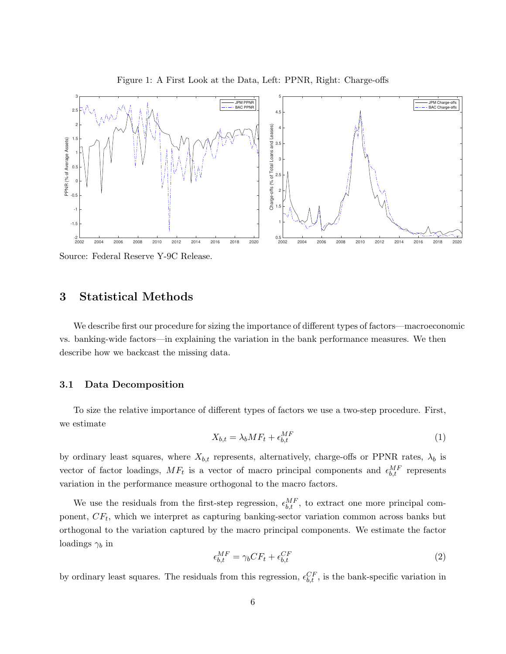<span id="page-6-0"></span>

Figure 1: A First Look at the Data, Left: PPNR, Right: Charge-offs

Source: Federal Reserve Y-9C Release.

## 3 Statistical Methods

We describe first our procedure for sizing the importance of different types of factors—macroeconomic vs. banking-wide factors—in explaining the variation in the bank performance measures. We then describe how we backcast the missing data.

#### <span id="page-6-1"></span>3.1 Data Decomposition

To size the relative importance of different types of factors we use a two-step procedure. First, we estimate

<span id="page-6-2"></span>
$$
X_{b,t} = \lambda_b M F_t + \epsilon_{b,t}^{MF} \tag{1}
$$

by ordinary least squares, where  $X_{b,t}$  represents, alternatively, charge-offs or PPNR rates,  $\lambda_b$  is vector of factor loadings,  $MF_t$  is a vector of macro principal components and  $\epsilon_{b,t}^{MF}$  represents variation in the performance measure orthogonal to the macro factors.

We use the residuals from the first-step regression,  $\epsilon_{b,t}^{MF}$ , to extract one more principal component,  $CF_t$ , which we interpret as capturing banking-sector variation common across banks but orthogonal to the variation captured by the macro principal components. We estimate the factor loadings  $\gamma_b$  in

<span id="page-6-3"></span>
$$
\epsilon_{b,t}^{MF} = \gamma_b C F_t + \epsilon_{b,t}^{CF} \tag{2}
$$

by ordinary least squares. The residuals from this regression,  $\epsilon_{b,t}^{CF}$ , is the bank-specific variation in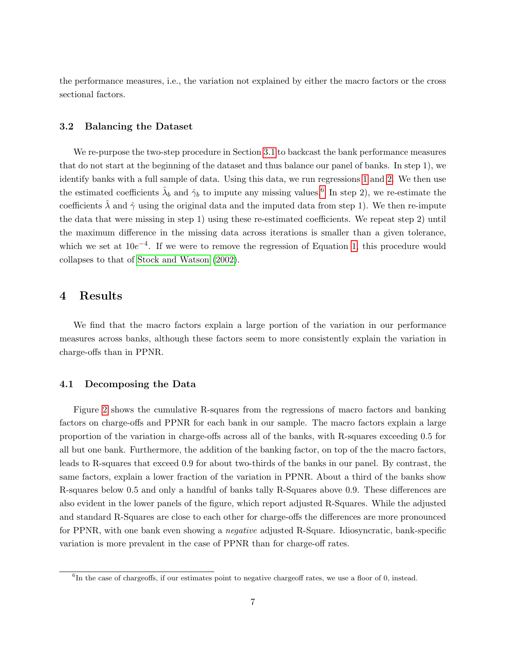the performance measures, i.e., the variation not explained by either the macro factors or the cross sectional factors.

#### 3.2 Balancing the Dataset

We re-purpose the two-step procedure in Section [3.1](#page-6-1) to backcast the bank performance measures that do not start at the beginning of the dataset and thus balance our panel of banks. In step 1), we identify banks with a full sample of data. Using this data, we run regressions [1](#page-6-2) and [2.](#page-6-3) We then use the estimated coefficients  $\hat{\lambda}_b$  and  $\hat{\gamma}_b$  to impute any missing values.<sup>[6](#page-7-0)</sup> In step 2), we re-estimate the coefficients  $\lambda$  and  $\hat{\gamma}$  using the original data and the imputed data from step 1). We then re-impute the data that were missing in step 1) using these re-estimated coefficients. We repeat step 2) until the maximum difference in the missing data across iterations is smaller than a given tolerance, which we set at  $10e^{-4}$ . If we were to remove the regression of Equation [1,](#page-6-2) this procedure would collapses to that of [Stock and Watson](#page-10-0) [\(2002\)](#page-10-0).

### 4 Results

We find that the macro factors explain a large portion of the variation in our performance measures across banks, although these factors seem to more consistently explain the variation in charge-offs than in PPNR.

#### 4.1 Decomposing the Data

Figure [2](#page-8-0) shows the cumulative R-squares from the regressions of macro factors and banking factors on charge-offs and PPNR for each bank in our sample. The macro factors explain a large proportion of the variation in charge-offs across all of the banks, with R-squares exceeding 0.5 for all but one bank. Furthermore, the addition of the banking factor, on top of the the macro factors, leads to R-squares that exceed 0.9 for about two-thirds of the banks in our panel. By contrast, the same factors, explain a lower fraction of the variation in PPNR. About a third of the banks show R-squares below 0.5 and only a handful of banks tally R-Squares above 0.9. These differences are also evident in the lower panels of the figure, which report adjusted R-Squares. While the adjusted and standard R-Squares are close to each other for charge-offs the differences are more pronounced for PPNR, with one bank even showing a negative adjusted R-Square. Idiosyncratic, bank-specific variation is more prevalent in the case of PPNR than for charge-off rates.

<span id="page-7-0"></span><sup>&</sup>lt;sup>6</sup>In the case of chargeoffs, if our estimates point to negative chargeoff rates, we use a floor of 0, instead.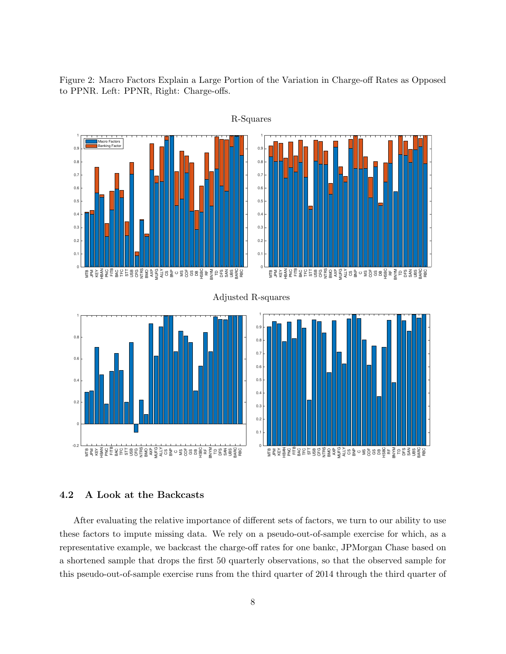<span id="page-8-0"></span>Figure 2: Macro Factors Explain a Large Portion of the Variation in Charge-off Rates as Opposed to PPNR. Left: PPNR, Right: Charge-offs.



### R-Squares

#### 4.2 A Look at the Backcasts

After evaluating the relative importance of different sets of factors, we turn to our ability to use these factors to impute missing data. We rely on a pseudo-out-of-sample exercise for which, as a representative example, we backcast the charge-off rates for one bankc, JPMorgan Chase based on a shortened sample that drops the first 50 quarterly observations, so that the observed sample for this pseudo-out-of-sample exercise runs from the third quarter of 2014 through the third quarter of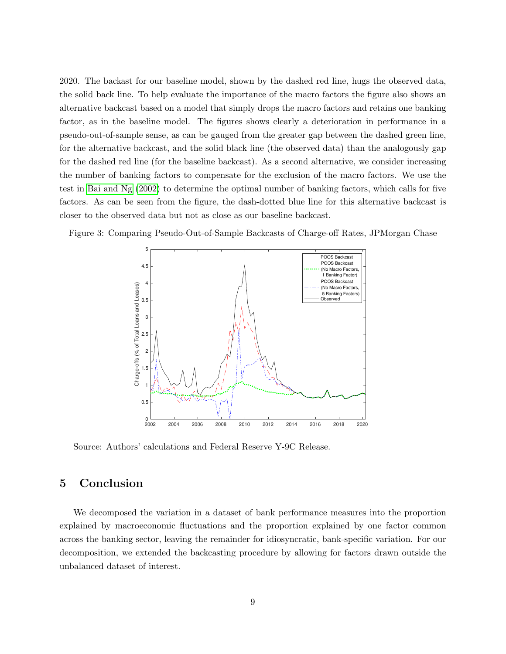2020. The backast for our baseline model, shown by the dashed red line, hugs the observed data, the solid back line. To help evaluate the importance of the macro factors the figure also shows an alternative backcast based on a model that simply drops the macro factors and retains one banking factor, as in the baseline model. The figures shows clearly a deterioration in performance in a pseudo-out-of-sample sense, as can be gauged from the greater gap between the dashed green line, for the alternative backcast, and the solid black line (the observed data) than the analogously gap for the dashed red line (for the baseline backcast). As a second alternative, we consider increasing the number of banking factors to compensate for the exclusion of the macro factors. We use the test in [Bai and Ng](#page-10-8) [\(2002\)](#page-10-8) to determine the optimal number of banking factors, which calls for five factors. As can be seen from the figure, the dash-dotted blue line for this alternative backcast is closer to the observed data but not as close as our baseline backcast.

Figure 3: Comparing Pseudo-Out-of-Sample Backcasts of Charge-off Rates, JPMorgan Chase



Source: Authors' calculations and Federal Reserve Y-9C Release.

## 5 Conclusion

We decomposed the variation in a dataset of bank performance measures into the proportion explained by macroeconomic fluctuations and the proportion explained by one factor common across the banking sector, leaving the remainder for idiosyncratic, bank-specific variation. For our decomposition, we extended the backcasting procedure by allowing for factors drawn outside the unbalanced dataset of interest.